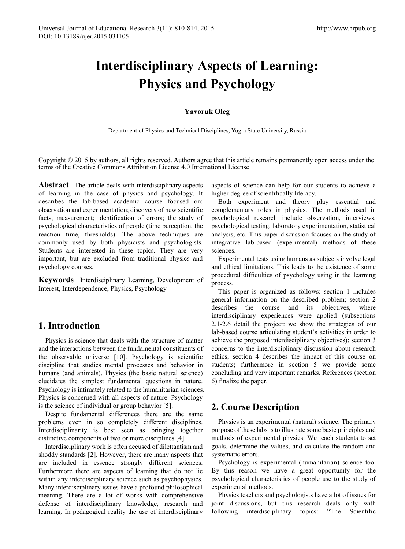# **Interdisciplinary Aspects of Learning: Physics and Psychology**

## **Yavoruk Oleg**

Department of Physics and Technical Disciplines, Yugra State University, Russia

Copyright © 2015 by authors, all rights reserved. Authors agree that this article remains permanently open access under the terms of the Creative Commons Attribution License 4.0 International License

**Abstract** The article deals with interdisciplinary aspects of learning in the case of physics and psychology. It describes the lab-based academic course focused on: observation and experimentation; discovery of new scientific facts; measurement; identification of errors; the study of psychological characteristics of people (time perception, the reaction time, thresholds). The above techniques are commonly used by both physicists and psychologists. Students are interested in these topics. They are very important, but are excluded from traditional physics and psychology courses.

**Keywords** Interdisciplinary Learning, Development of Interest, Interdependence, Physics, Psychology

# **1. Introduction**

Physics is science that deals with the structure of matter and the interactions between the fundamental constituents of the observable universe [10]. Psychology is scientific discipline that studies mental processes and behavior in humans (and animals). Physics (the basic natural science) elucidates the simplest fundamental questions in nature. Psychology is intimately related to the humanitarian sciences. Physics is concerned with all aspects of nature. Psychology is the science of individual or group behavior [5].

Despite fundamental differences there are the same problems even in so completely different disciplines. Interdisciplinarity is best seen as bringing together distinctive components of two or more disciplines [4].

Interdisciplinary work is often accused of dilettantism and shoddy standards [2]. However, there are many aspects that are included in essence strongly different sciences. Furthermore there are aspects of learning that do not lie within any interdisciplinary science such as psychophysics. Many interdisciplinary issues have a profound philosophical meaning. There are a lot of works with comprehensive defense of interdisciplinary knowledge, research and learning. In pedagogical reality the use of interdisciplinary

aspects of science can help for our students to achieve a higher degree of scientifically literacy.

Both experiment and theory play essential and complementary roles in physics. The methods used in psychological research include observation, interviews, psychological testing, laboratory experimentation, statistical analysis, etc. This paper discussion focuses on the study of integrative lab-based (experimental) methods of these sciences.

Experimental tests using humans as subjects involve legal and ethical limitations. This leads to the existence of some procedural difficulties of psychology using in the learning process.

This paper is organized as follows: section 1 includes general information on the described problem; section 2 describes the course and its objectives, where interdisciplinary experiences were applied (subsections 2.1-2.6 detail the project: we show the strategies of our lab-based course articulating student's activities in order to achieve the proposed interdisciplinary objectives); section 3 concerns to the interdisciplinary discussion about research ethics; section 4 describes the impact of this course on students; furthermore in section 5 we provide some concluding and very important remarks. References (section 6) finalize the paper.

# **2. Course Description**

Physics is an experimental (natural) science. The primary purpose of these labs is to illustrate some basic principles and methods of experimental physics. We teach students to set goals, determine the values, and calculate the random and systematic errors.

Psychology is experimental (humanitarian) science too. By this reason we have a great opportunity for the psychological characteristics of people use to the study of experimental methods.

Physics teachers and psychologists have a lot of issues for joint discussions, but this research deals only with following interdisciplinary topics: "The Scientific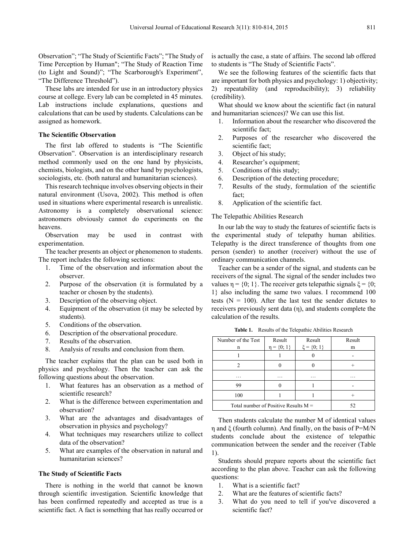Observation"; "The Study of Scientific Facts"; "The Study of Time Perception by Human"; "The Study of Reaction Time (to Light and Sound)"; "The Scarborough's Experiment", "The Difference Threshold").

These labs are intended for use in an introductory physics course at college. Every lab can be completed in 45 minutes. Lab instructions include explanations, questions and calculations that can be used by students. Calculations can be assigned as homework.

#### **The Scientific Observation**

The first lab offered to students is "The Scientific Observation". Observation is an interdisciplinary research method commonly used on the one hand by physicists, chemists, biologists, and on the other hand by psychologists, sociologists, etc. (both natural and humanitarian sciences).

This research technique involves observing objects in their natural environment (Usova, 2002). This method is often used in situations where experimental research is unrealistic. Astronomy is a completely observational science: astronomers obviously cannot do experiments on the heavens.

Observation may be used in contrast with experimentation.

The teacher presents an object or phenomenon to students. The report includes the following sections:

- 1. Time of the observation and information about the observer.
- 2. Purpose of the observation (it is formulated by a teacher or chosen by the students).
- 3. Description of the observing object.
- 4. Equipment of the observation (it may be selected by students).
- 5. Conditions of the observation.
- 6. Description of the observational procedure.
- 7. Results of the observation.
- 8. Analysis of results and conclusion from them.

The teacher explains that the plan can be used both in physics and psychology. Then the teacher can ask the following questions about the observation.

- 1. What features has an observation as a method of scientific research?
- 2. What is the difference between experimentation and observation?
- 3. What are the advantages and disadvantages of observation in physics and psychology?
- 4. What techniques may researchers utilize to collect data of the observation?
- 5. What are examples of the observation in natural and humanitarian sciences?

#### **The Study of Scientific Facts**

There is nothing in the world that cannot be known through scientific investigation. Scientific knowledge that has been confirmed repeatedly and accepted as true is a scientific fact. A fact is something that has really occurred or

is actually the case, a state of affairs. The second lab offered to students is "The Study of Scientific Facts".

We see the following features of the scientific facts that are important for both physics and psychology: 1) objectivity; 2) repeatability (and reproducibility); 3) reliability (credibility).

What should we know about the scientific fact (in natural and humanitarian sciences)? We can use this list.

- 1. Information about the researcher who discovered the scientific fact;
- 2. Purposes of the researcher who discovered the scientific fact;
- 3. Object of his study;
- 4. Researcher's equipment;
- 5. Conditions of this study;
- 6. Description of the detecting procedure;
- 7. Results of the study, formulation of the scientific fact;
- 8. Application of the scientific fact.

#### The Telepathic Abilities Research

In our lab the way to study the features of scientific facts is the experimental study of telepathy human abilities. Telepathy is the direct transference of thoughts from one person (sender) to another (receiver) without the use of ordinary communication channels.

Teacher can be a sender of the signal, and students can be receivers of the signal. The signal of the sender includes two values  $\eta = \{0, 1\}$ . The receiver gets telepathic signals  $\xi = \{0, \ldots, 1\}$ . 1} also including the same two values. I recommend 100 tests ( $N = 100$ ). After the last test the sender dictates to receivers previously sent data (η), and students complete the calculation of the results.

| Results of the Telepathic Abilities Research<br>Table 1. |  |
|----------------------------------------------------------|--|
|----------------------------------------------------------|--|

| Number of the Test                     | Result            | Result           | Result |
|----------------------------------------|-------------------|------------------|--------|
| n                                      | $\eta = \{0; 1\}$ | $\xi = \{0; 1\}$ | m      |
|                                        |                   |                  |        |
|                                        |                   |                  |        |
| .                                      | .                 | .                | .      |
| 99                                     |                   |                  |        |
| 100                                    |                   |                  |        |
| Total number of Positive Results $M =$ | 52                |                  |        |

Then students calculate the number M of identical values η and ξ (fourth column). And finally, on the basis of P=M/N students conclude about the existence of telepathic communication between the sender and the receiver (Table 1).

Students should prepare reports about the scientific fact according to the plan above. Teacher can ask the following questions:

- 1. What is a scientific fact?
- 2. What are the features of scientific facts?
- 3. What do you need to tell if you've discovered a scientific fact?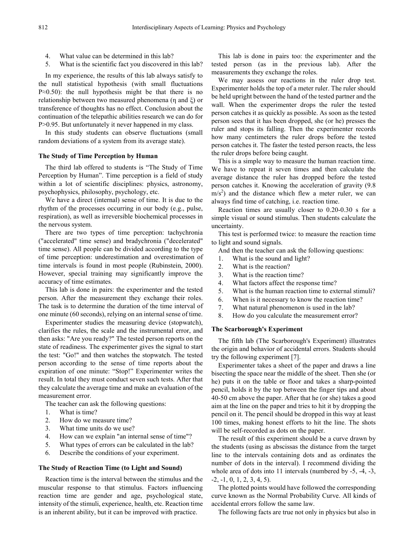- 4. What value can be determined in this lab?
- 5. What is the scientific fact you discovered in this lab?

In my experience, the results of this lab always satisfy to the null statistical hypothesis (with small fluctuations P≈0.50): the null hypothesis might be that there is no relationship between two measured phenomena (η and ξ) or transference of thoughts has no effect. Conclusion about the continuation of the telepathic abilities research we can do for P>0.95. But unfortunately it never happened in my class.

In this study students can observe fluctuations (small random deviations of a system from its average state).

### **The Study of Time Perception by Human**

The third lab offered to students is "The Study of Time Perception by Human". Time perception is a field of study within a lot of scientific disciplines: physics, astronomy, psychophysics, philosophy, psychology, etc.

We have a direct (internal) sense of time. It is due to the rhythm of the processes occurring in our body (e.g., pulse, respiration), as well as irreversible biochemical processes in the nervous system.

There are two types of time perception: tachychronia ("accelerated" time sense) and bradychronia ("decelerated" time sense). All people can be divided according to the type of time perception: underestimation and overestimation of time intervals is found in most people (Rubinstein, 2000). However, special training may significantly improve the accuracy of time estimates.

This lab is done in pairs: the experimenter and the tested person. After the measurement they exchange their roles. The task is to determine the duration of the time interval of one minute (60 seconds), relying on an internal sense of time.

Experimenter studies the measuring device (stopwatch), clarifies the rules, the scale and the instrumental error, and then asks: "Are you ready?" The tested person reports on the state of readiness. The experimenter gives the signal to start the test: "Go!" and then watches the stopwatch. The tested person according to the sense of time reports about the expiration of one minute: "Stop!" Experimenter writes the result. In total they must conduct seven such tests. After that they calculate the average time and make an evaluation of the measurement error.

The teacher can ask the following questions:

- 1. What is time?
- 2. How do we measure time?
- 3. What time units do we use?
- 4. How can we explain "an internal sense of time"?
- 5. What types of errors can be calculated in the lab?
- 6. Describe the conditions of your experiment.

#### **The Study of Reaction Time (to Light and Sound)**

Reaction time is the interval between the stimulus and the muscular response to that stimulus. Factors influencing reaction time are gender and age, psychological state, intensity of the stimuli, experience, health, etc. Reaction time is an inherent ability, but it can be improved with practice.

This lab is done in pairs too: the experimenter and the tested person (as in the previous lab). After the measurements they exchange the roles.

We may assess our reactions in the ruler drop test. Experimenter holds the top of a meter ruler. The ruler should be held upright between the hand of the tested partner and the wall. When the experimenter drops the ruler the tested person catches it as quickly as possible. As soon as the tested person sees that it has been dropped, she (or he) presses the ruler and stops its falling. Then the experimenter records how many centimeters the ruler drops before the tested person catches it. The faster the tested person reacts, the less the ruler drops before being caught.

This is a simple way to measure the human reaction time. We have to repeat it seven times and then calculate the average distance the ruler has dropped before the tested person catches it. Knowing the acceleration of gravity (9.8  $\text{m/s}^2$ ) and the distance which flew a meter ruler, we can always find time of catching, i.e. reaction time.

Reaction times are usually closer to 0.20-0.30 s for a simple visual or sound stimulus. Then students calculate the uncertainty.

This test is performed twice: to measure the reaction time to light and sound signals.

- And then the teacher can ask the following questions:
- 1. What is the sound and light?
- 2. What is the reaction?
- 3. What is the reaction time?
- 4. What factors affect the response time?
- 5. What is the human reaction time to external stimuli?
- 6. When is it necessary to know the reaction time?
- 7. What natural phenomenon is used in the lab?
- 8. How do you calculate the measurement error?

#### **The Scarborough's Experiment**

The fifth lab (The Scarborough's Experiment) illustrates the origin and behavior of accidental errors. Students should try the following experiment [7].

Experimenter takes a sheet of the paper and draws a line bisecting the space near the middle of the sheet. Then she (or he) puts it on the table or floor and takes a sharp-pointed pencil, holds it by the top between the finger tips and about 40-50 cm above the paper. After that he (or she) takes a good aim at the line on the paper and tries to hit it by dropping the pencil on it. The pencil should be dropped in this way at least 100 times, making honest efforts to hit the line. The shots will be self-recorded as dots on the paper.

The result of this experiment should be a curve drawn by the students (using as abscissas the distance from the target line to the intervals containing dots and as ordinates the number of dots in the interval). I recommend dividing the whole area of dots into 11 intervals (numbered by -5, -4, -3,  $-2, -1, 0, 1, 2, 3, 4, 5$ .

The plotted points would have followed the corresponding curve known as the Normal Probability Curve. All kinds of accidental errors follow the same law.

The following facts are true not only in physics but also in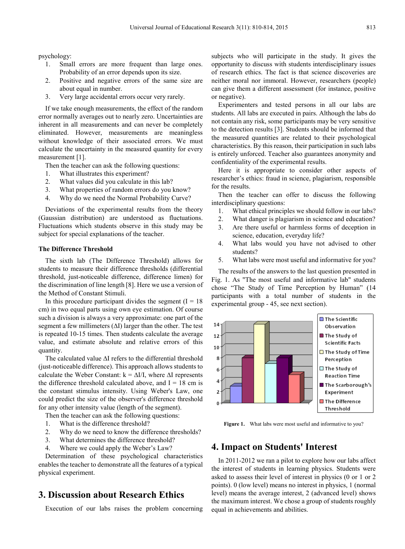psychology:

- 1. Small errors are more frequent than large ones. Probability of an error depends upon its size.
- 2. Positive and negative errors of the same size are about equal in number.
- 3. Very large accidental errors occur very rarely.

If we take enough measurements, the effect of the random error normally averages out to nearly zero. Uncertainties are inherent in all measurements and can never be completely eliminated. However, measurements are meaningless without knowledge of their associated errors. We must calculate the uncertainty in the measured quantity for every measurement [1].

Then the teacher can ask the following questions:

- 1. What illustrates this experiment?
- 2. What values did you calculate in this lab?
- 3. What properties of random errors do you know?
- 4. Why do we need the Normal Probability Curve?

Deviations of the experimental results from the theory (Gaussian distribution) are understood as fluctuations. Fluctuations which students observe in this study may be subject for special explanations of the teacher.

#### **The Difference Threshold**

The sixth lab (The Difference Threshold) allows for students to measure their difference thresholds (differential threshold, just-noticeable difference, difference limen) for the discrimination of line length [8]. Here we use a version of the Method of Constant Stimuli.

In this procedure participant divides the segment  $(I = 18$ cm) in two equal parts using own eye estimation. Of course such a division is always a very approximate: one part of the segment a few millimeters ( $\Delta I$ ) larger than the other. The test is repeated 10-15 times. Then students calculate the average value, and estimate absolute and relative errors of this quantity.

The calculated value ∆I refers to the differential threshold (just-noticeable difference). This approach allows students to calculate the Weber Constant:  $k = \Delta I/I$ , where  $\Delta I$  represents the difference threshold calculated above, and  $I = 18$  cm is the constant stimulus intensity. Using Weber's Law, one could predict the size of the observer's difference threshold for any other intensity value (length of the segment).

Then the teacher can ask the following questions:

- 1. What is the difference threshold?
- 2. Why do we need to know the difference thresholds?
- 3. What determines the difference threshold?
- 4. Where we could apply the Weber's Law?

Determination of these psychological characteristics enables the teacher to demonstrate all the features of a typical physical experiment.

# **3. Discussion about Research Ethics**

Execution of our labs raises the problem concerning

subjects who will participate in the study. It gives the opportunity to discuss with students interdisciplinary issues of research ethics. The fact is that science discoveries are neither moral nor immoral. However, researchers (people) can give them a different assessment (for instance, positive or negative).

Experimenters and tested persons in all our labs are students. All labs are executed in pairs. Although the labs do not contain any risk, some participants may be very sensitive to the detection results [3]. Students should be informed that the measured quantities are related to their psychological characteristics. By this reason, their participation in such labs is entirely unforced. Teacher also guarantees anonymity and confidentiality of the experimental results.

Here it is appropriate to consider other aspects of researcher's ethics: fraud in science, plagiarism, responsible for the results.

Then the teacher can offer to discuss the following interdisciplinary questions:

- 1. What ethical principles we should follow in our labs?
- 2. What danger is plagiarism in science and education?
- 3. Are there useful or harmless forms of deception in science, education, everyday life?
- 4. What labs would you have not advised to other students?
- 5. What labs were most useful and informative for you?

The results of the answers to the last question presented in Fig. 1. As "The most useful and informative lab" students chose "The Study of Time Perception by Human" (14 participants with a total number of students in the experimental group - 45, see next section).



**Figure 1.** What labs were most useful and informative to you?

# **4. Impact on Students' Interest**

In 2011-2012 we ran a pilot to explore how our labs affect the interest of students in learning physics. Students were asked to assess their level of interest in physics (0 or 1 or 2 points). 0 (low level) means no interest in physics, 1 (normal level) means the average interest, 2 (advanced level) shows the maximum interest. We chose a group of students roughly equal in achievements and abilities.